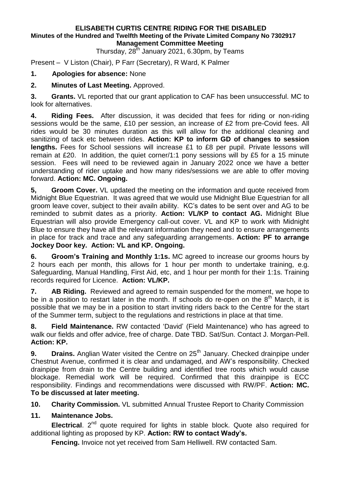#### **ELISABETH CURTIS CENTRE RIDING FOR THE DISABLED Minutes of the Hundred and Twelfth Meeting of the Private Limited Company No 7302917 Management Committee Meeting**

Thursday, 28<sup>th</sup> January 2021, 6.30pm, by Teams

Present – V Liston (Chair), P Farr (Secretary), R Ward, K Palmer

### **1. Apologies for absence:** None

### **2. Minutes of Last Meeting.** Approved.

**3. Grants.** VL reported that our grant application to CAF has been unsuccessful. MC to look for alternatives.

**4. Riding Fees.** After discussion, it was decided that fees for riding or non-riding sessions would be the same, £10 per session, an increase of £2 from pre-Covid fees. All rides would be 30 minutes duration as this will allow for the additional cleaning and sanitizing of tack etc between rides. **Action: KP to inform GD of changes to session lengths.** Fees for School sessions will increase £1 to £8 per pupil. Private lessons will remain at £20. In addition, the quiet corner/1:1 pony sessions will by £5 for a 15 minute session. Fees will need to be reviewed again in January 2022 once we have a better understanding of rider uptake and how many rides/sessions we are able to offer moving forward. **Action: MC. Ongoing.**

**5, Groom Cover.** VL updated the meeting on the information and quote received from Midnight Blue Equestrian. It was agreed that we would use Midnight Blue Equestrian for all groom leave cover, subject to their availn ability. KC's dates to be sent over and AG to be reminded to submit dates as a priority. **Action: VL/KP to contact AG.** Midnight Blue Equestrian will also provide Emergency call-out cover. VL and KP to work with Midnight Blue to ensure they have all the relevant information they need and to ensure arrangements in place for track and trace and any safeguarding arrangements. **Action: PF to arrange Jockey Door key. Action: VL and KP. Ongoing.**

**6. Groom's Training and Monthly 1:1s.** MC agreed to increase our grooms hours by 2 hours each per month, this allows for 1 hour per month to undertake training, e.g. Safeguarding, Manual Handling, First Aid, etc, and 1 hour per month for their 1:1s. Training records required for Licence. **Action: VL/KP.**

**7. AB Riding.** Reviewed and agreed to remain suspended for the moment, we hope to be in a position to restart later in the month. If schools do re-open on the  $8<sup>th</sup>$  March, it is possible that we may be in a position to start inviting riders back to the Centre for the start of the Summer term, subject to the regulations and restrictions in place at that time.

**8. Field Maintenance.** RW contacted 'David' (Field Maintenance) who has agreed to walk our fields and offer advice, free of charge. Date TBD. Sat/Sun. Contact J. Morgan-Pell. **Action: KP.**

**9. Drains.** Anglian Water visited the Centre on 25<sup>th</sup> January. Checked drainpipe under Chestnut Avenue, confirmed it is clear and undamaged, and AW's responsibility. Checked drainpipe from drain to the Centre building and identified tree roots which would cause blockage. Remedial work will be required. Confirmed that this drainpipe is ECC responsibility. Findings and recommendations were discussed with RW/PF. **Action: MC. To be discussed at later meeting.**

**10. Charity Commission.** VL submitted Annual Trustee Report to Charity Commission

# **11. Maintenance Jobs.**

**Electrical**. 2<sup>nd</sup> quote required for lights in stable block. Quote also required for additional lighting as proposed by KP. **Action: RW to contact Wady's.**

**Fencing.** Invoice not yet received from Sam Helliwell. RW contacted Sam.